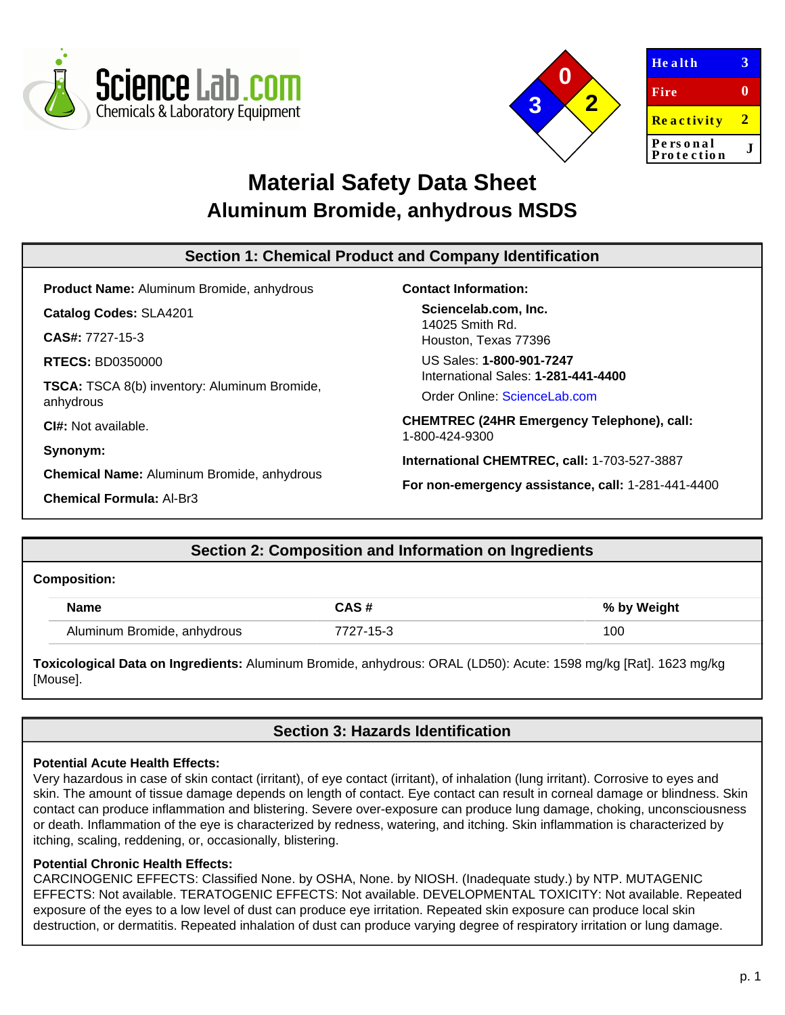



| <b>Health</b>          | 3  |
|------------------------|----|
| Fire                   | 0  |
| <b>Reactivity</b>      | 2. |
| Personal<br>Protection |    |

# **Material Safety Data Sheet Aluminum Bromide, anhydrous MSDS**

| Section 1: Chemical Product and Company Identification |                                                                     |  |  |
|--------------------------------------------------------|---------------------------------------------------------------------|--|--|
| <b>Product Name:</b> Aluminum Bromide, anhydrous       | <b>Contact Information:</b>                                         |  |  |
| <b>Catalog Codes: SLA4201</b>                          | Sciencelab.com, Inc.                                                |  |  |
| <b>CAS#: 7727-15-3</b>                                 | 14025 Smith Rd.<br>Houston, Texas 77396                             |  |  |
| <b>RTECS: BD0350000</b>                                | US Sales: 1-800-901-7247                                            |  |  |
| TSCA: TSCA 8(b) inventory: Aluminum Bromide,           | International Sales: 1-281-441-4400                                 |  |  |
| anhydrous                                              | Order Online: ScienceLab.com                                        |  |  |
| <b>CI#:</b> Not available.                             | <b>CHEMTREC (24HR Emergency Telephone), call:</b><br>1-800-424-9300 |  |  |
| Synonym:                                               |                                                                     |  |  |
| <b>Chemical Name: Aluminum Bromide, anhydrous</b>      | International CHEMTREC, call: 1-703-527-3887                        |  |  |
|                                                        | For non-emergency assistance, call: 1-281-441-4400                  |  |  |
| <b>Chemical Formula: Al-Br3</b>                        |                                                                     |  |  |

# **Section 2: Composition and Information on Ingredients**

#### **Composition:**

| <b>Name</b>                 | CAS#      | % by Weight |
|-----------------------------|-----------|-------------|
| Aluminum Bromide, anhydrous | 7727-15-3 | 100         |

**Toxicological Data on Ingredients:** Aluminum Bromide, anhydrous: ORAL (LD50): Acute: 1598 mg/kg [Rat]. 1623 mg/kg [Mouse].

# **Section 3: Hazards Identification**

#### **Potential Acute Health Effects:**

Very hazardous in case of skin contact (irritant), of eye contact (irritant), of inhalation (lung irritant). Corrosive to eyes and skin. The amount of tissue damage depends on length of contact. Eye contact can result in corneal damage or blindness. Skin contact can produce inflammation and blistering. Severe over-exposure can produce lung damage, choking, unconsciousness or death. Inflammation of the eye is characterized by redness, watering, and itching. Skin inflammation is characterized by itching, scaling, reddening, or, occasionally, blistering.

#### **Potential Chronic Health Effects:**

CARCINOGENIC EFFECTS: Classified None. by OSHA, None. by NIOSH. (Inadequate study.) by NTP. MUTAGENIC EFFECTS: Not available. TERATOGENIC EFFECTS: Not available. DEVELOPMENTAL TOXICITY: Not available. Repeated exposure of the eyes to a low level of dust can produce eye irritation. Repeated skin exposure can produce local skin destruction, or dermatitis. Repeated inhalation of dust can produce varying degree of respiratory irritation or lung damage.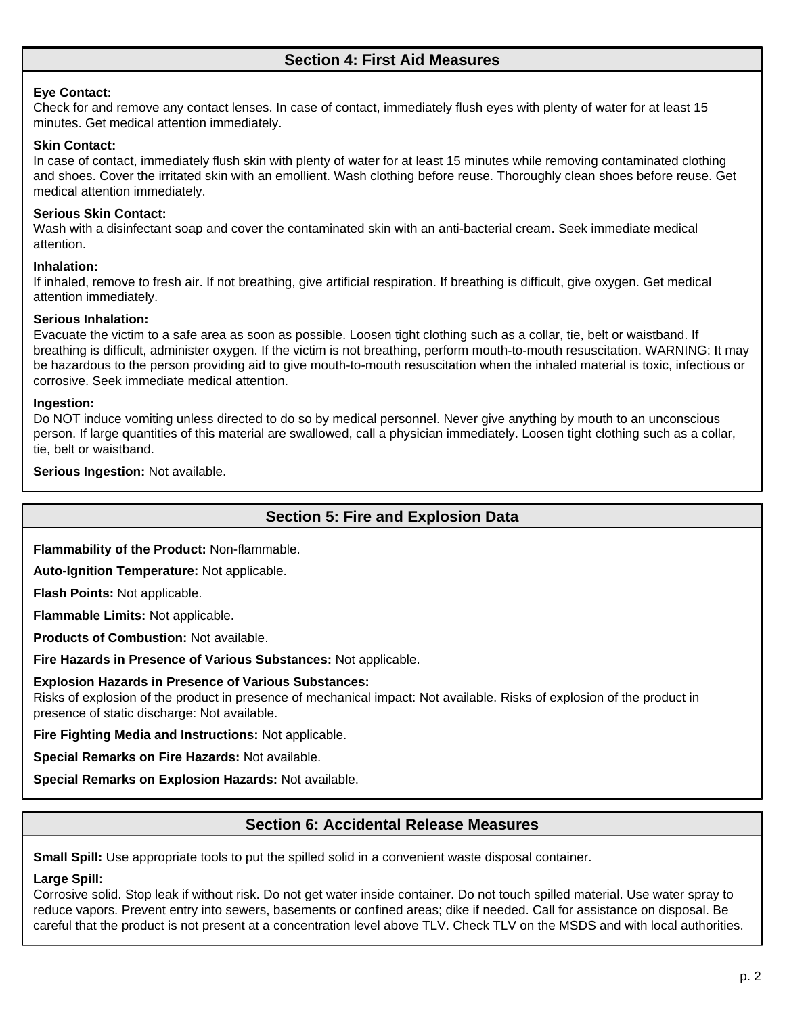# **Section 4: First Aid Measures**

#### **Eye Contact:**

Check for and remove any contact lenses. In case of contact, immediately flush eyes with plenty of water for at least 15 minutes. Get medical attention immediately.

#### **Skin Contact:**

In case of contact, immediately flush skin with plenty of water for at least 15 minutes while removing contaminated clothing and shoes. Cover the irritated skin with an emollient. Wash clothing before reuse. Thoroughly clean shoes before reuse. Get medical attention immediately.

#### **Serious Skin Contact:**

Wash with a disinfectant soap and cover the contaminated skin with an anti-bacterial cream. Seek immediate medical attention.

#### **Inhalation:**

If inhaled, remove to fresh air. If not breathing, give artificial respiration. If breathing is difficult, give oxygen. Get medical attention immediately.

#### **Serious Inhalation:**

Evacuate the victim to a safe area as soon as possible. Loosen tight clothing such as a collar, tie, belt or waistband. If breathing is difficult, administer oxygen. If the victim is not breathing, perform mouth-to-mouth resuscitation. WARNING: It may be hazardous to the person providing aid to give mouth-to-mouth resuscitation when the inhaled material is toxic, infectious or corrosive. Seek immediate medical attention.

#### **Ingestion:**

Do NOT induce vomiting unless directed to do so by medical personnel. Never give anything by mouth to an unconscious person. If large quantities of this material are swallowed, call a physician immediately. Loosen tight clothing such as a collar, tie, belt or waistband.

**Serious Ingestion:** Not available.

### **Section 5: Fire and Explosion Data**

**Flammability of the Product:** Non-flammable.

**Auto-Ignition Temperature:** Not applicable.

**Flash Points:** Not applicable.

**Flammable Limits:** Not applicable.

**Products of Combustion:** Not available.

**Fire Hazards in Presence of Various Substances:** Not applicable.

#### **Explosion Hazards in Presence of Various Substances:**

Risks of explosion of the product in presence of mechanical impact: Not available. Risks of explosion of the product in presence of static discharge: Not available.

**Fire Fighting Media and Instructions:** Not applicable.

**Special Remarks on Fire Hazards:** Not available.

**Special Remarks on Explosion Hazards:** Not available.

# **Section 6: Accidental Release Measures**

**Small Spill:** Use appropriate tools to put the spilled solid in a convenient waste disposal container.

# **Large Spill:**

Corrosive solid. Stop leak if without risk. Do not get water inside container. Do not touch spilled material. Use water spray to reduce vapors. Prevent entry into sewers, basements or confined areas; dike if needed. Call for assistance on disposal. Be careful that the product is not present at a concentration level above TLV. Check TLV on the MSDS and with local authorities.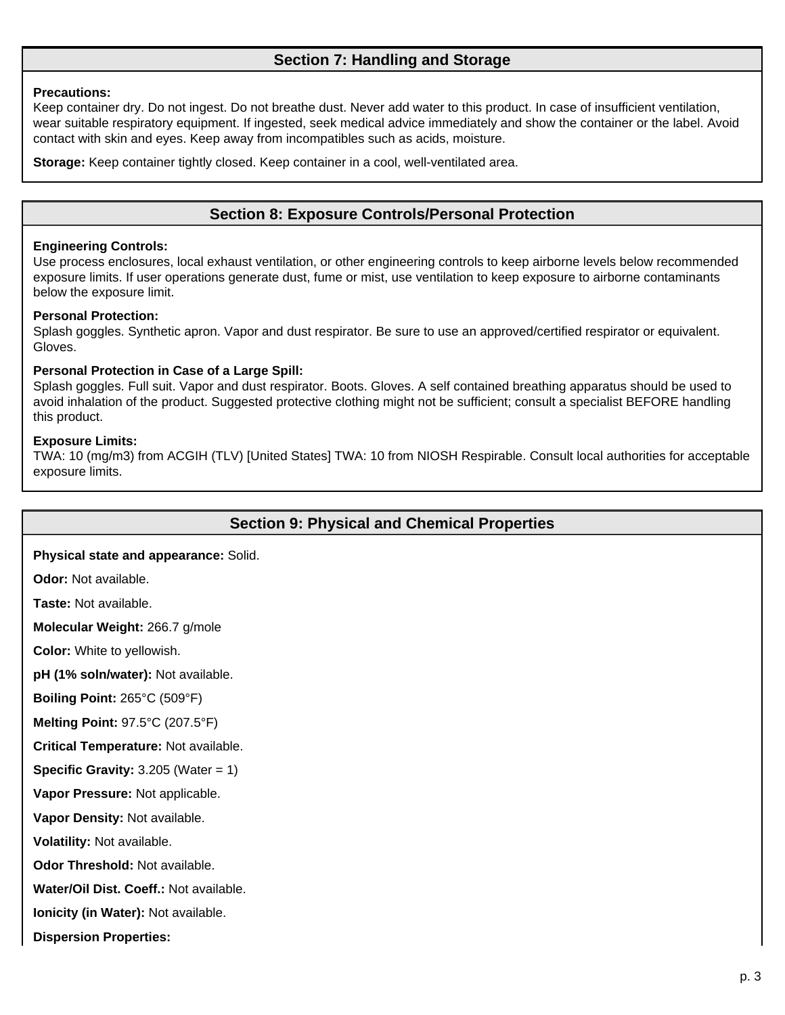# **Section 7: Handling and Storage**

#### **Precautions:**

Keep container dry. Do not ingest. Do not breathe dust. Never add water to this product. In case of insufficient ventilation, wear suitable respiratory equipment. If ingested, seek medical advice immediately and show the container or the label. Avoid contact with skin and eyes. Keep away from incompatibles such as acids, moisture.

**Storage:** Keep container tightly closed. Keep container in a cool, well-ventilated area.

## **Section 8: Exposure Controls/Personal Protection**

#### **Engineering Controls:**

Use process enclosures, local exhaust ventilation, or other engineering controls to keep airborne levels below recommended exposure limits. If user operations generate dust, fume or mist, use ventilation to keep exposure to airborne contaminants below the exposure limit.

#### **Personal Protection:**

Splash goggles. Synthetic apron. Vapor and dust respirator. Be sure to use an approved/certified respirator or equivalent. Gloves.

#### **Personal Protection in Case of a Large Spill:**

Splash goggles. Full suit. Vapor and dust respirator. Boots. Gloves. A self contained breathing apparatus should be used to avoid inhalation of the product. Suggested protective clothing might not be sufficient; consult a specialist BEFORE handling this product.

#### **Exposure Limits:**

TWA: 10 (mg/m3) from ACGIH (TLV) [United States] TWA: 10 from NIOSH Respirable. Consult local authorities for acceptable exposure limits.

### **Section 9: Physical and Chemical Properties**

#### **Physical state and appearance:** Solid.

**Odor:** Not available.

**Taste:** Not available.

**Molecular Weight:** 266.7 g/mole

**Color:** White to yellowish.

**pH (1% soln/water):** Not available.

**Boiling Point:** 265°C (509°F)

**Melting Point:** 97.5°C (207.5°F)

**Critical Temperature:** Not available.

**Specific Gravity:**  $3.205$  (Water = 1)

**Vapor Pressure:** Not applicable.

**Vapor Density:** Not available.

**Volatility:** Not available.

**Odor Threshold:** Not available.

**Water/Oil Dist. Coeff.:** Not available.

**Ionicity (in Water):** Not available.

**Dispersion Properties:**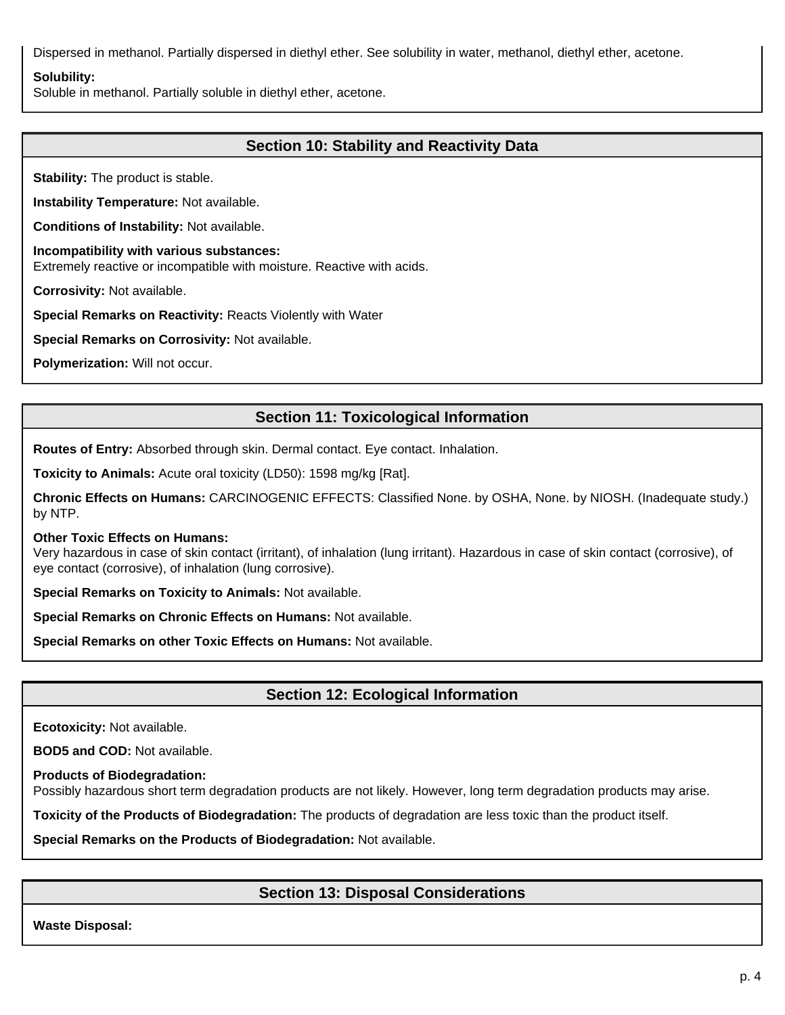Dispersed in methanol. Partially dispersed in diethyl ether. See solubility in water, methanol, diethyl ether, acetone.

#### **Solubility:**

Soluble in methanol. Partially soluble in diethyl ether, acetone.

# **Section 10: Stability and Reactivity Data**

**Stability:** The product is stable.

**Instability Temperature:** Not available.

**Conditions of Instability:** Not available.

**Incompatibility with various substances:** Extremely reactive or incompatible with moisture. Reactive with acids.

**Corrosivity:** Not available.

**Special Remarks on Reactivity:** Reacts Violently with Water

**Special Remarks on Corrosivity:** Not available.

**Polymerization:** Will not occur.

# **Section 11: Toxicological Information**

**Routes of Entry:** Absorbed through skin. Dermal contact. Eye contact. Inhalation.

**Toxicity to Animals:** Acute oral toxicity (LD50): 1598 mg/kg [Rat].

**Chronic Effects on Humans:** CARCINOGENIC EFFECTS: Classified None. by OSHA, None. by NIOSH. (Inadequate study.) by NTP.

#### **Other Toxic Effects on Humans:**

Very hazardous in case of skin contact (irritant), of inhalation (lung irritant). Hazardous in case of skin contact (corrosive), of eye contact (corrosive), of inhalation (lung corrosive).

**Special Remarks on Toxicity to Animals:** Not available.

**Special Remarks on Chronic Effects on Humans:** Not available.

**Special Remarks on other Toxic Effects on Humans:** Not available.

# **Section 12: Ecological Information**

**Ecotoxicity:** Not available.

**BOD5 and COD:** Not available.

**Products of Biodegradation:**

Possibly hazardous short term degradation products are not likely. However, long term degradation products may arise.

**Toxicity of the Products of Biodegradation:** The products of degradation are less toxic than the product itself.

**Special Remarks on the Products of Biodegradation:** Not available.

# **Section 13: Disposal Considerations**

**Waste Disposal:**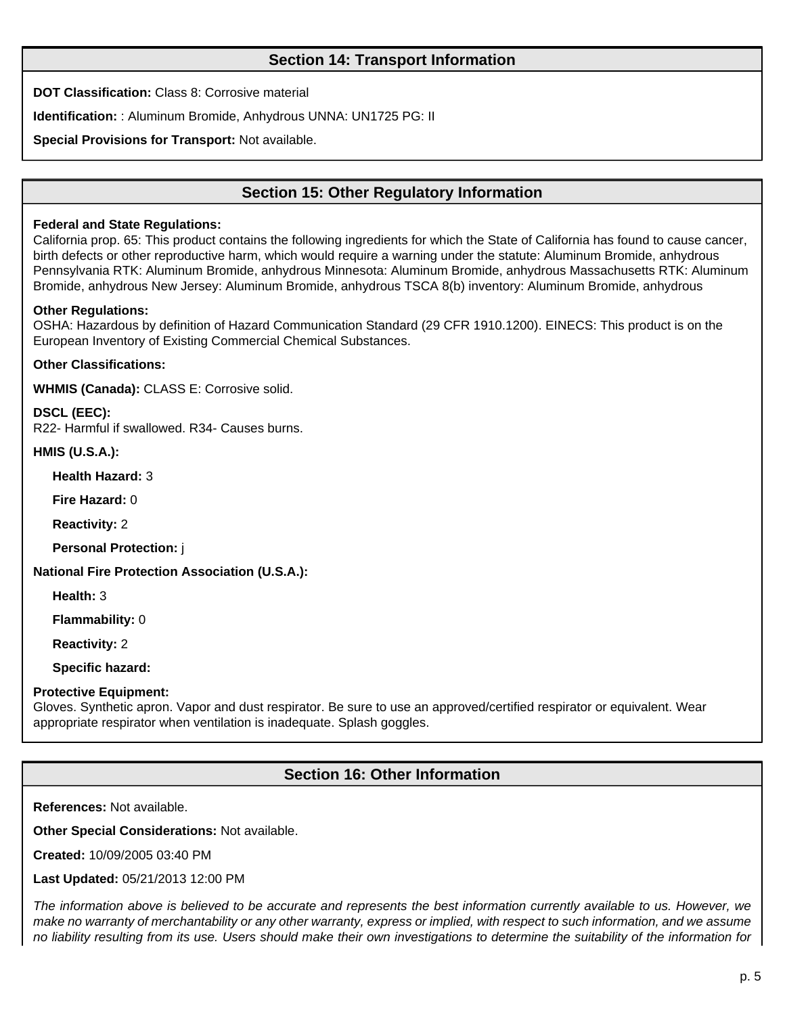# **Section 14: Transport Information**

**DOT Classification:** Class 8: Corrosive material

**Identification:** : Aluminum Bromide, Anhydrous UNNA: UN1725 PG: II

**Special Provisions for Transport:** Not available.

# **Section 15: Other Regulatory Information**

#### **Federal and State Regulations:**

California prop. 65: This product contains the following ingredients for which the State of California has found to cause cancer, birth defects or other reproductive harm, which would require a warning under the statute: Aluminum Bromide, anhydrous Pennsylvania RTK: Aluminum Bromide, anhydrous Minnesota: Aluminum Bromide, anhydrous Massachusetts RTK: Aluminum Bromide, anhydrous New Jersey: Aluminum Bromide, anhydrous TSCA 8(b) inventory: Aluminum Bromide, anhydrous

#### **Other Regulations:**

OSHA: Hazardous by definition of Hazard Communication Standard (29 CFR 1910.1200). EINECS: This product is on the European Inventory of Existing Commercial Chemical Substances.

**Other Classifications:**

**WHMIS (Canada):** CLASS E: Corrosive solid.

**DSCL (EEC):** R22- Harmful if swallowed. R34- Causes burns.

**HMIS (U.S.A.):**

**Health Hazard:** 3

**Fire Hazard:** 0

**Reactivity:** 2

**Personal Protection:** j

**National Fire Protection Association (U.S.A.):**

**Health:** 3

**Flammability:** 0

**Reactivity:** 2

**Specific hazard:**

#### **Protective Equipment:**

Gloves. Synthetic apron. Vapor and dust respirator. Be sure to use an approved/certified respirator or equivalent. Wear appropriate respirator when ventilation is inadequate. Splash goggles.

# **Section 16: Other Information**

**References:** Not available.

**Other Special Considerations:** Not available.

**Created:** 10/09/2005 03:40 PM

**Last Updated:** 05/21/2013 12:00 PM

The information above is believed to be accurate and represents the best information currently available to us. However, we make no warranty of merchantability or any other warranty, express or implied, with respect to such information, and we assume no liability resulting from its use. Users should make their own investigations to determine the suitability of the information for